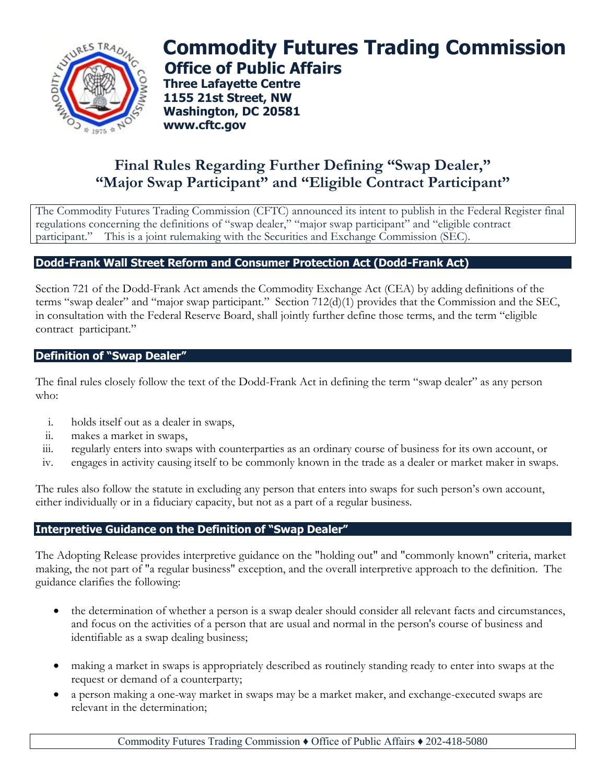

# **Commodity Futures Trading Commission Office of Public Affairs**

**Three Lafayette Centre 1155 21st Street, NW Washington, DC 20581 www.cftc.gov**

# **Final Rules Regarding Further Defining "Swap Dealer," "Major Swap Participant" and "Eligible Contract Participant"**

The Commodity Futures Trading Commission (CFTC) announced its intent to publish in the Federal Register final regulations concerning the definitions of "swap dealer," "major swap participant" and "eligible contract participant." This is a joint rulemaking with the Securities and Exchange Commission (SEC).

#### **Dodd-Frank Wall Street Reform and Consumer Protection Act (Dodd-Frank Act)**

Section 721 of the Dodd-Frank Act amends the Commodity Exchange Act (CEA) by adding definitions of the terms "swap dealer" and "major swap participant." Section 712(d)(1) provides that the Commission and the SEC, in consultation with the Federal Reserve Board, shall jointly further define those terms, and the term "eligible contract participant."

#### **Definition of "Swap Dealer"**

The final rules closely follow the text of the Dodd-Frank Act in defining the term "swap dealer" as any person who:

- i. holds itself out as a dealer in swaps,
- ii. makes a market in swaps,
- iii. regularly enters into swaps with counterparties as an ordinary course of business for its own account, or
- iv. engages in activity causing itself to be commonly known in the trade as a dealer or market maker in swaps.

The rules also follow the statute in excluding any person that enters into swaps for such person's own account, either individually or in a fiduciary capacity, but not as a part of a regular business.

# **Interpretive Guidance on the Definition of "Swap Dealer"**

The Adopting Release provides interpretive guidance on the "holding out" and "commonly known" criteria, market making, the not part of "a regular business" exception, and the overall interpretive approach to the definition. The guidance clarifies the following:

- the determination of whether a person is a swap dealer should consider all relevant facts and circumstances, and focus on the activities of a person that are usual and normal in the person's course of business and identifiable as a swap dealing business;
- making a market in swaps is appropriately described as routinely standing ready to enter into swaps at the request or demand of a counterparty;
- a person making a one-way market in swaps may be a market maker, and exchange-executed swaps are relevant in the determination;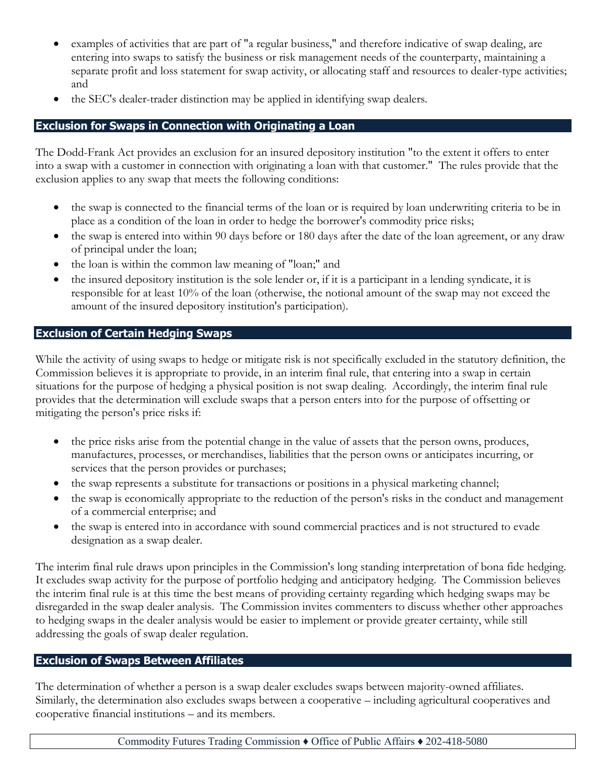- examples of activities that are part of "a regular business," and therefore indicative of swap dealing, are entering into swaps to satisfy the business or risk management needs of the counterparty, maintaining a separate profit and loss statement for swap activity, or allocating staff and resources to dealer-type activities; and
- the SEC's dealer-trader distinction may be applied in identifying swap dealers.

#### **Exclusion for Swaps in Connection with Originating a Loan**

The Dodd-Frank Act provides an exclusion for an insured depository institution "to the extent it offers to enter into a swap with a customer in connection with originating a loan with that customer." The rules provide that the exclusion applies to any swap that meets the following conditions:

- the swap is connected to the financial terms of the loan or is required by loan underwriting criteria to be in place as a condition of the loan in order to hedge the borrower's commodity price risks;
- the swap is entered into within 90 days before or 180 days after the date of the loan agreement, or any draw of principal under the loan;
- the loan is within the common law meaning of "loan;" and
- the insured depository institution is the sole lender or, if it is a participant in a lending syndicate, it is responsible for at least 10% of the loan (otherwise, the notional amount of the swap may not exceed the amount of the insured depository institution's participation).

#### **Exclusion of Certain Hedging Swaps**

While the activity of using swaps to hedge or mitigate risk is not specifically excluded in the statutory definition, the Commission believes it is appropriate to provide, in an interim final rule, that entering into a swap in certain situations for the purpose of hedging a physical position is not swap dealing. Accordingly, the interim final rule provides that the determination will exclude swaps that a person enters into for the purpose of offsetting or mitigating the person's price risks if:

- the price risks arise from the potential change in the value of assets that the person owns, produces, manufactures, processes, or merchandises, liabilities that the person owns or anticipates incurring, or services that the person provides or purchases;
- the swap represents a substitute for transactions or positions in a physical marketing channel;
- the swap is economically appropriate to the reduction of the person's risks in the conduct and management of a commercial enterprise; and
- the swap is entered into in accordance with sound commercial practices and is not structured to evade designation as a swap dealer.

The interim final rule draws upon principles in the Commission's long standing interpretation of bona fide hedging. It excludes swap activity for the purpose of portfolio hedging and anticipatory hedging. The Commission believes the interim final rule is at this time the best means of providing certainty regarding which hedging swaps may be disregarded in the swap dealer analysis. The Commission invites commenters to discuss whether other approaches to hedging swaps in the dealer analysis would be easier to implement or provide greater certainty, while still addressing the goals of swap dealer regulation.

#### **Exclusion of Swaps Between Affiliates**

The determination of whether a person is a swap dealer excludes swaps between majority-owned affiliates. Similarly, the determination also excludes swaps between a cooperative – including agricultural cooperatives and cooperative financial institutions – and its members.

Commodity Futures Trading Commission ♦ Office of Public Affairs ♦ 202-418-5080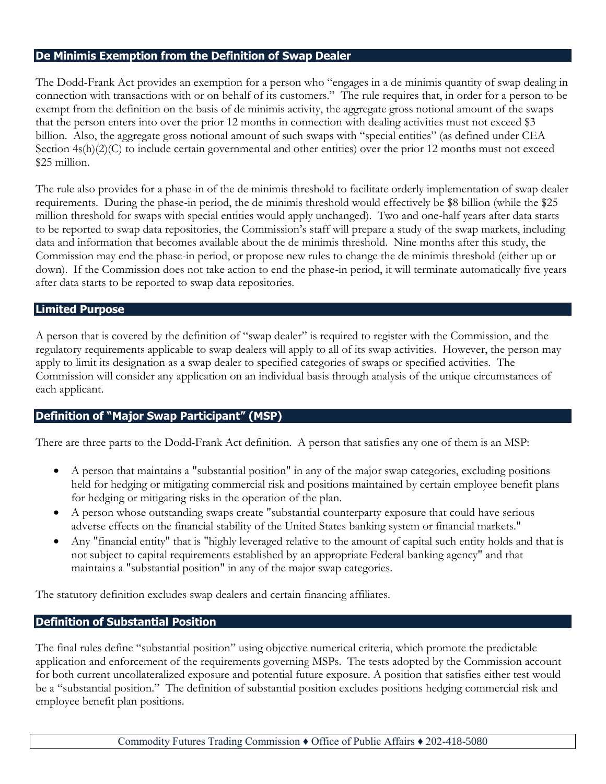#### **De Minimis Exemption from the Definition of Swap Dealer**

The Dodd-Frank Act provides an exemption for a person who "engages in a de minimis quantity of swap dealing in connection with transactions with or on behalf of its customers." The rule requires that, in order for a person to be exempt from the definition on the basis of de minimis activity, the aggregate gross notional amount of the swaps that the person enters into over the prior 12 months in connection with dealing activities must not exceed \$3 billion. Also, the aggregate gross notional amount of such swaps with "special entities" (as defined under CEA Section  $4s(h)(2)(C)$  to include certain governmental and other entities) over the prior 12 months must not exceed \$25 million.

The rule also provides for a phase-in of the de minimis threshold to facilitate orderly implementation of swap dealer requirements. During the phase-in period, the de minimis threshold would effectively be \$8 billion (while the \$25 million threshold for swaps with special entities would apply unchanged). Two and one-half years after data starts to be reported to swap data repositories, the Commission's staff will prepare a study of the swap markets, including data and information that becomes available about the de minimis threshold. Nine months after this study, the Commission may end the phase-in period, or propose new rules to change the de minimis threshold (either up or down). If the Commission does not take action to end the phase-in period, it will terminate automatically five years after data starts to be reported to swap data repositories.

#### **Limited Purpose**

A person that is covered by the definition of "swap dealer" is required to register with the Commission, and the regulatory requirements applicable to swap dealers will apply to all of its swap activities. However, the person may apply to limit its designation as a swap dealer to specified categories of swaps or specified activities. The Commission will consider any application on an individual basis through analysis of the unique circumstances of each applicant.

#### **Definition of "Major Swap Participant" (MSP)**

There are three parts to the Dodd-Frank Act definition. A person that satisfies any one of them is an MSP:

- A person that maintains a "substantial position" in any of the major swap categories, excluding positions held for hedging or mitigating commercial risk and positions maintained by certain employee benefit plans for hedging or mitigating risks in the operation of the plan.
- A person whose outstanding swaps create "substantial counterparty exposure that could have serious adverse effects on the financial stability of the United States banking system or financial markets."
- Any "financial entity" that is "highly leveraged relative to the amount of capital such entity holds and that is not subject to capital requirements established by an appropriate Federal banking agency" and that maintains a "substantial position" in any of the major swap categories.

The statutory definition excludes swap dealers and certain financing affiliates.

#### **Definition of Substantial Position**

The final rules define "substantial position" using objective numerical criteria, which promote the predictable application and enforcement of the requirements governing MSPs. The tests adopted by the Commission account for both current uncollateralized exposure and potential future exposure. A position that satisfies either test would be a "substantial position." The definition of substantial position excludes positions hedging commercial risk and employee benefit plan positions.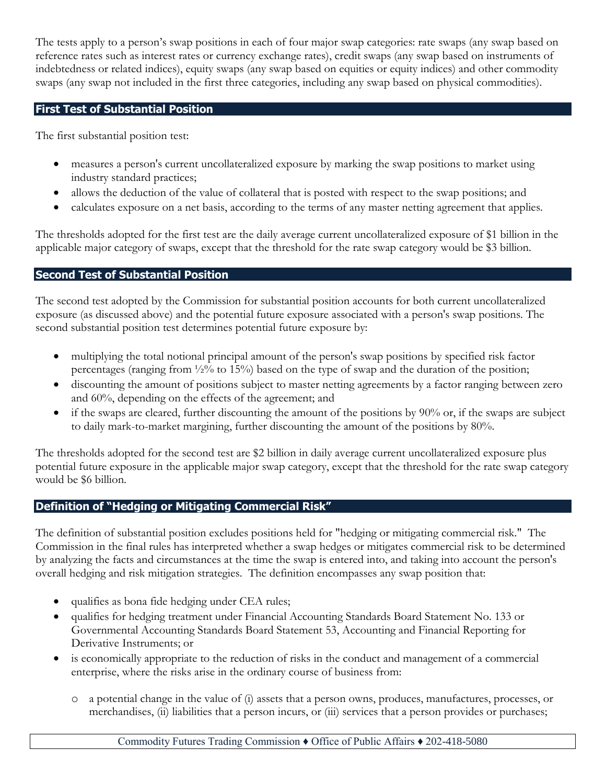The tests apply to a person's swap positions in each of four major swap categories: rate swaps (any swap based on reference rates such as interest rates or currency exchange rates), credit swaps (any swap based on instruments of indebtedness or related indices), equity swaps (any swap based on equities or equity indices) and other commodity swaps (any swap not included in the first three categories, including any swap based on physical commodities).

#### **First Test of Substantial Position**

The first substantial position test:

- measures a person's current uncollateralized exposure by marking the swap positions to market using industry standard practices;
- allows the deduction of the value of collateral that is posted with respect to the swap positions; and
- calculates exposure on a net basis, according to the terms of any master netting agreement that applies.

The thresholds adopted for the first test are the daily average current uncollateralized exposure of \$1 billion in the applicable major category of swaps, except that the threshold for the rate swap category would be \$3 billion.

#### **Second Test of Substantial Position**

The second test adopted by the Commission for substantial position accounts for both current uncollateralized exposure (as discussed above) and the potential future exposure associated with a person's swap positions. The second substantial position test determines potential future exposure by:

- multiplying the total notional principal amount of the person's swap positions by specified risk factor percentages (ranging from  $\frac{1}{2}\%$  to 15%) based on the type of swap and the duration of the position;
- discounting the amount of positions subject to master netting agreements by a factor ranging between zero and 60%, depending on the effects of the agreement; and
- if the swaps are cleared, further discounting the amount of the positions by 90% or, if the swaps are subject to daily mark-to-market margining, further discounting the amount of the positions by 80%.

The thresholds adopted for the second test are \$2 billion in daily average current uncollateralized exposure plus potential future exposure in the applicable major swap category, except that the threshold for the rate swap category would be \$6 billion.

# **Definition of "Hedging or Mitigating Commercial Risk"**

The definition of substantial position excludes positions held for "hedging or mitigating commercial risk." The Commission in the final rules has interpreted whether a swap hedges or mitigates commercial risk to be determined by analyzing the facts and circumstances at the time the swap is entered into, and taking into account the person's overall hedging and risk mitigation strategies. The definition encompasses any swap position that:

- qualifies as bona fide hedging under CEA rules;
- qualifies for hedging treatment under Financial Accounting Standards Board Statement No. 133 or Governmental Accounting Standards Board Statement 53, Accounting and Financial Reporting for Derivative Instruments; or
- is economically appropriate to the reduction of risks in the conduct and management of a commercial enterprise, where the risks arise in the ordinary course of business from:
	- o a potential change in the value of (i) assets that a person owns, produces, manufactures, processes, or merchandises, (ii) liabilities that a person incurs, or (iii) services that a person provides or purchases;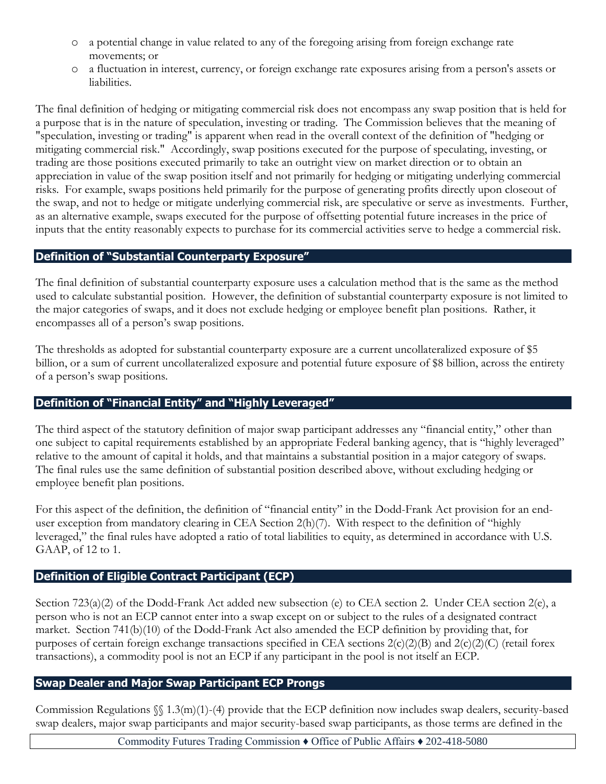- o a potential change in value related to any of the foregoing arising from foreign exchange rate movements; or
- o a fluctuation in interest, currency, or foreign exchange rate exposures arising from a person's assets or liabilities.

The final definition of hedging or mitigating commercial risk does not encompass any swap position that is held for a purpose that is in the nature of speculation, investing or trading. The Commission believes that the meaning of "speculation, investing or trading" is apparent when read in the overall context of the definition of "hedging or mitigating commercial risk." Accordingly, swap positions executed for the purpose of speculating, investing, or trading are those positions executed primarily to take an outright view on market direction or to obtain an appreciation in value of the swap position itself and not primarily for hedging or mitigating underlying commercial risks. For example, swaps positions held primarily for the purpose of generating profits directly upon closeout of the swap, and not to hedge or mitigate underlying commercial risk, are speculative or serve as investments. Further, as an alternative example, swaps executed for the purpose of offsetting potential future increases in the price of inputs that the entity reasonably expects to purchase for its commercial activities serve to hedge a commercial risk.

#### **Definition of "Substantial Counterparty Exposure"**

The final definition of substantial counterparty exposure uses a calculation method that is the same as the method used to calculate substantial position. However, the definition of substantial counterparty exposure is not limited to the major categories of swaps, and it does not exclude hedging or employee benefit plan positions. Rather, it encompasses all of a person's swap positions.

The thresholds as adopted for substantial counterparty exposure are a current uncollateralized exposure of \$5 billion, or a sum of current uncollateralized exposure and potential future exposure of \$8 billion, across the entirety of a person's swap positions.

# **Definition of "Financial Entity" and "Highly Leveraged"**

The third aspect of the statutory definition of major swap participant addresses any "financial entity," other than one subject to capital requirements established by an appropriate Federal banking agency, that is "highly leveraged" relative to the amount of capital it holds, and that maintains a substantial position in a major category of swaps. The final rules use the same definition of substantial position described above, without excluding hedging or employee benefit plan positions.

For this aspect of the definition, the definition of "financial entity" in the Dodd-Frank Act provision for an enduser exception from mandatory clearing in CEA Section 2(h)(7). With respect to the definition of "highly leveraged," the final rules have adopted a ratio of total liabilities to equity, as determined in accordance with U.S. GAAP, of 12 to 1.

#### **Definition of Eligible Contract Participant (ECP)**

Section 723(a)(2) of the Dodd-Frank Act added new subsection (e) to CEA section 2. Under CEA section 2(e), a person who is not an ECP cannot enter into a swap except on or subject to the rules of a designated contract market. Section 741(b)(10) of the Dodd-Frank Act also amended the ECP definition by providing that, for purposes of certain foreign exchange transactions specified in CEA sections 2(c)(2)(B) and 2(c)(2)(C) (retail forex transactions), a commodity pool is not an ECP if any participant in the pool is not itself an ECP.

#### **Swap Dealer and Major Swap Participant ECP Prongs**

Commission Regulations §§ 1.3(m)(1)-(4) provide that the ECP definition now includes swap dealers, security-based swap dealers, major swap participants and major security-based swap participants, as those terms are defined in the

Commodity Futures Trading Commission ♦ Office of Public Affairs ♦ 202-418-5080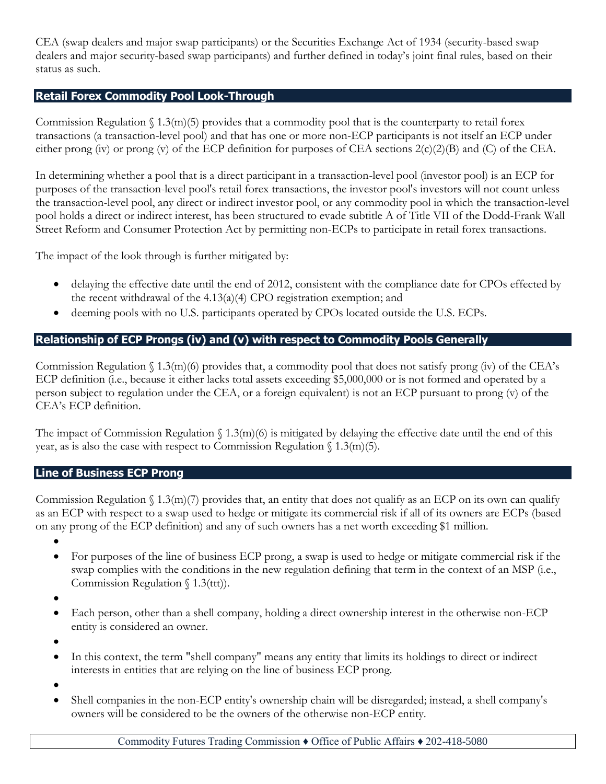CEA (swap dealers and major swap participants) or the Securities Exchange Act of 1934 (security-based swap dealers and major security-based swap participants) and further defined in today's joint final rules, based on their status as such.

#### **Retail Forex Commodity Pool Look-Through**

Commission Regulation  $\{(1.3(m)(5))\}$  provides that a commodity pool that is the counterparty to retail forex transactions (a transaction-level pool) and that has one or more non-ECP participants is not itself an ECP under either prong (iv) or prong (v) of the ECP definition for purposes of CEA sections 2(c)(2)(B) and (C) of the CEA.

In determining whether a pool that is a direct participant in a transaction-level pool (investor pool) is an ECP for purposes of the transaction-level pool's retail forex transactions, the investor pool's investors will not count unless the transaction-level pool, any direct or indirect investor pool, or any commodity pool in which the transaction-level pool holds a direct or indirect interest, has been structured to evade subtitle A of Title VII of the Dodd-Frank Wall Street Reform and Consumer Protection Act by permitting non-ECPs to participate in retail forex transactions.

The impact of the look through is further mitigated by:

- delaying the effective date until the end of 2012, consistent with the compliance date for CPOs effected by the recent withdrawal of the 4.13(a)(4) CPO registration exemption; and
- deeming pools with no U.S. participants operated by CPOs located outside the U.S. ECPs.

# **Relationship of ECP Prongs (iv) and (v) with respect to Commodity Pools Generally**

Commission Regulation  $\{(1.3(m)(6))\}$  provides that, a commodity pool that does not satisfy prong (iv) of the CEA's ECP definition (i.e., because it either lacks total assets exceeding \$5,000,000 or is not formed and operated by a person subject to regulation under the CEA, or a foreign equivalent) is not an ECP pursuant to prong (v) of the CEA's ECP definition.

The impact of Commission Regulation  $\int 1.3(m)(6)$  is mitigated by delaying the effective date until the end of this year, as is also the case with respect to Commission Regulation  $\{(1.3(m)(5))\}$ .

#### **Line of Business ECP Prong**

Commission Regulation  $\{(1.3(m)/7)$  provides that, an entity that does not qualify as an ECP on its own can qualify as an ECP with respect to a swap used to hedge or mitigate its commercial risk if all of its owners are ECPs (based on any prong of the ECP definition) and any of such owners has a net worth exceeding \$1 million.

 $\bullet$ 

- For purposes of the line of business ECP prong, a swap is used to hedge or mitigate commercial risk if the swap complies with the conditions in the new regulation defining that term in the context of an MSP (i.e., Commission Regulation § 1.3(ttt)).
- $\bullet$
- Each person, other than a shell company, holding a direct ownership interest in the otherwise non-ECP entity is considered an owner.
- $\bullet$
- In this context, the term "shell company" means any entity that limits its holdings to direct or indirect interests in entities that are relying on the line of business ECP prong.

 $\bullet$ 

 Shell companies in the non-ECP entity's ownership chain will be disregarded; instead, a shell company's owners will be considered to be the owners of the otherwise non-ECP entity.